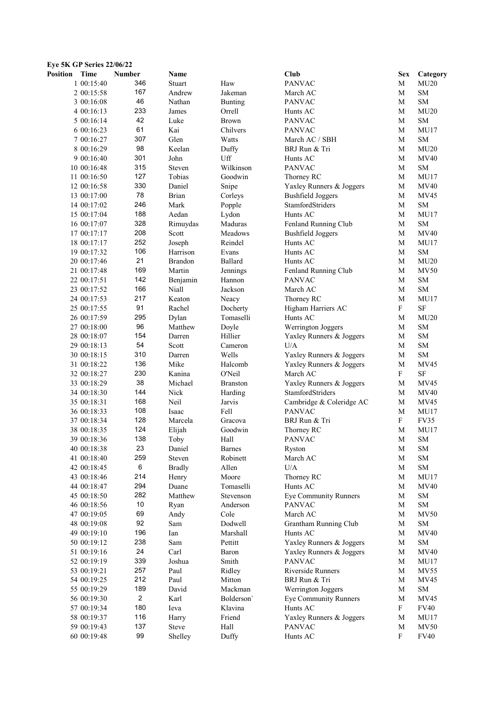| Position | Time        | <b>Number</b>  | Name          |                 | Club                         | <b>Sex</b>                | Category    |
|----------|-------------|----------------|---------------|-----------------|------------------------------|---------------------------|-------------|
|          | 1 00:15:40  | 346            | Stuart        | Haw             | <b>PANVAC</b>                | M                         | MU20        |
|          | 2 00:15:58  | 167            | Andrew        | Jakeman         | March AC                     | M                         | ${\rm SM}$  |
|          | 3 00:16:08  | 46             | Nathan        | Bunting         | <b>PANVAC</b>                | M                         | <b>SM</b>   |
|          | 4 00:16:13  | 233            | James         | Orrell          | Hunts AC                     | M                         | MU20        |
|          | 5 00:16:14  | 42             | Luke          | <b>Brown</b>    | <b>PANVAC</b>                | M                         | <b>SM</b>   |
|          | 6 00:16:23  | 61             | Kai           | Chilvers        | <b>PANVAC</b>                | M                         | MU17        |
|          | 7 00:16:27  | 307            | Glen          | Watts           | March AC / SBH               | M                         | <b>SM</b>   |
|          | 8 00:16:29  | 98             | Keelan        | Duffy           | BRJ Run & Tri                | M                         | MU20        |
|          | 9 00:16:40  | 301            | John          | Uff             | Hunts AC                     | M                         | <b>MV40</b> |
|          | 10 00:16:48 | 315            | Steven        | Wilkinson       | <b>PANVAC</b>                | M                         | SM          |
|          | 11 00:16:50 | 127            | Tobias        | Goodwin         | Thorney RC                   | M                         | MU17        |
|          | 12 00:16:58 | 330            | Daniel        | Snipe           | Yaxley Runners & Joggers     | M                         | <b>MV40</b> |
|          | 13 00:17:00 | 78             | <b>Brian</b>  |                 | <b>Bushfield Joggers</b>     | M                         | MV45        |
|          |             | 246            |               | Corleys         |                              |                           |             |
|          | 14 00:17:02 |                | Mark          | Popple          | StamfordStriders             | M                         | <b>SM</b>   |
|          | 15 00:17:04 | 188            | Aedan         | Lydon           | Hunts AC                     | M                         | MU17        |
|          | 16 00:17:07 | 328            | Rimuydas      | Maduras         | Fenland Running Club         | M                         | SM          |
|          | 17 00:17:17 | 208            | Scott         | Meadows         | <b>Bushfield Joggers</b>     | M                         | <b>MV40</b> |
|          | 18 00:17:17 | 252            | Joseph        | Reindel         | Hunts AC                     | M                         | MU17        |
|          | 19 00:17:32 | 106            | Harrison      | Evans           | Hunts AC                     | M                         | <b>SM</b>   |
|          | 20 00:17:46 | 21             | Brandon       | Ballard         | Hunts AC                     | M                         | MU20        |
|          | 21 00:17:48 | 169            | Martin        | Jennings        | Fenland Running Club         | M                         | <b>MV50</b> |
|          | 22 00:17:51 | 142            | Benjamin      | Hannon          | <b>PANVAC</b>                | M                         | SM          |
|          | 23 00:17:52 | 166            | Niall         | Jackson         | March AC                     | M                         | ${\rm SM}$  |
|          | 24 00:17:53 | 217            | Keaton        | Neacy           | Thorney RC                   | M                         | <b>MU17</b> |
|          | 25 00:17:55 | 91             | Rachel        | Docherty        | Higham Harriers AC           | $\boldsymbol{\mathrm{F}}$ | $\rm SF$    |
|          | 26 00:17:59 | 295            | Dylan         | Tomaselli       | Hunts AC                     | М                         | MU20        |
|          | 27 00:18:00 | 96             | Matthew       | Doyle           | Werrington Joggers           | M                         | SM          |
|          | 28 00:18:07 | 154            | Darren        | Hillier         | Yaxley Runners & Joggers     | М                         | <b>SM</b>   |
|          | 29 00:18:13 | 54             | Scott         | Cameron         | U/A                          | M                         | ${\rm SM}$  |
|          | 30 00:18:15 | 310            | Darren        | Wells           | Yaxley Runners & Joggers     | M                         | ${\rm SM}$  |
|          | 31 00:18:22 | 136            | Mike          | Halcomb         | Yaxley Runners & Joggers     | M                         | MV45        |
|          | 32 00:18:27 | 230            | Kanina        | O'Neil          | March AC                     | $\boldsymbol{\mathrm{F}}$ | $\rm SF$    |
|          | 33 00:18:29 | 38             | Michael       | <b>Branston</b> | Yaxley Runners & Joggers     | M                         | MV45        |
|          | 34 00:18:30 | 144            | Nick          | Harding         | StamfordStriders             | M                         | <b>MV40</b> |
|          | 35 00:18:31 | 168            | Neil          | Jarvis          | Cambridge & Coleridge AC     | M                         | MV45        |
|          | 36 00:18:33 | 108            | Isaac         | Fell            | <b>PANVAC</b>                | M                         | MU17        |
|          | 37 00:18:34 | 128            | Marcela       | Gracova         | BRJ Run & Tri                | $\mathbf F$               | FV35        |
|          | 38 00:18:35 | 124            | Elijah        | Goodwin         | Thorney RC                   | M                         | MU17        |
|          | 39 00:18:36 | 138            | Toby          | Hall            | <b>PANVAC</b>                | M                         | SM          |
|          | 40 00:18:38 | 23             | Daniel        | <b>Barnes</b>   |                              | M                         | SM          |
|          |             | 259            | Steven        |                 | Ryston                       |                           | ${\rm SM}$  |
|          | 41 00:18:40 |                |               | Robinett        | March AC                     | M                         |             |
|          | 42 00:18:45 | 6              | <b>Bradly</b> | Allen           | U/A                          | M                         | SM          |
|          | 43 00:18:46 | 214            | Henry         | Moore           | Thorney RC                   | M                         | MU17        |
|          | 44 00:18:47 | 294            | Duane         | Tomaselli       | Hunts AC                     | M                         | <b>MV40</b> |
|          | 45 00:18:50 | 282            | Matthew       | Stevenson       | <b>Eye Community Runners</b> | M                         | SM          |
|          | 46 00:18:56 | 10             | Ryan          | Anderson        | <b>PANVAC</b>                | M                         | SM          |
|          | 47 00:19:05 | 69             | Andy          | Cole            | March AC                     | M                         | <b>MV50</b> |
|          | 48 00:19:08 | 92             | Sam           | Dodwell         | Grantham Running Club        | M                         | SM          |
|          | 49 00:19:10 | 196            | Ian           | Marshall        | Hunts AC                     | M                         | MV40        |
|          | 50 00:19:12 | 238            | Sam           | Pettitt         | Yaxley Runners & Joggers     | M                         | SM          |
|          | 51 00:19:16 | 24             | Carl          | Baron           | Yaxley Runners & Joggers     | M                         | MV40        |
|          | 52 00:19:19 | 339            | Joshua        | Smith           | <b>PANVAC</b>                | M                         | <b>MU17</b> |
|          | 53 00:19:21 | 257            | Paul          | Ridley          | Riverside Runners            | M                         | <b>MV55</b> |
|          | 54 00:19:25 | 212            | Paul          | Mitton          | BRJ Run & Tri                | M                         | MV45        |
|          | 55 00:19:29 | 189            | David         | Mackman         | Werrington Joggers           | M                         | SM          |
|          | 56 00:19:30 | $\overline{c}$ | Karl          | Bolderson'      | <b>Eye Community Runners</b> | M                         | MV45        |
|          | 57 00:19:34 | 180            | Ieva          | Klavina         | Hunts AC                     | $\mathbf{F}$              | <b>FV40</b> |
|          | 58 00:19:37 | 116            | Harry         | Friend          | Yaxley Runners & Joggers     | M                         | MU17        |
|          | 59 00:19:43 | 137            | <b>Steve</b>  | Hall            | <b>PANVAC</b>                | M                         | <b>MV50</b> |
|          | 60 00:19:48 | 99             | Shelley       | Duffy           | Hunts AC                     | $\boldsymbol{\mathrm{F}}$ | <b>FV40</b> |
|          |             |                |               |                 |                              |                           |             |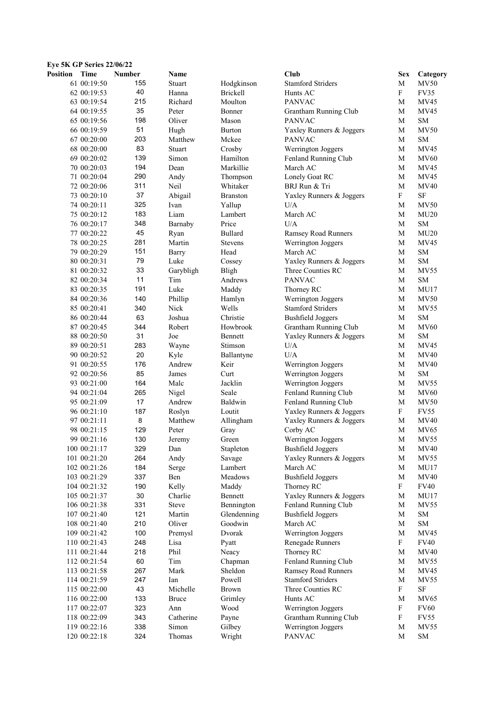| Position | Time         | <b>Number</b> | Name         |                 | <b>Club</b>                | <b>Sex</b>                | Category    |
|----------|--------------|---------------|--------------|-----------------|----------------------------|---------------------------|-------------|
|          | 61 00:19:50  | 155           | Stuart       | Hodgkinson      | <b>Stamford Striders</b>   | M                         | <b>MV50</b> |
|          | 62 00:19:53  | 40            | Hanna        | <b>Brickell</b> | Hunts AC                   | $\boldsymbol{\mathrm{F}}$ | <b>FV35</b> |
|          | 63 00:19:54  | 215           | Richard      | Moulton         | <b>PANVAC</b>              | M                         | <b>MV45</b> |
|          | 64 00:19:55  | 35            | Peter        | Bonner          | Grantham Running Club      | M                         | MV45        |
|          | 65 00:19:56  | 198           | Oliver       | Mason           | <b>PANVAC</b>              | M                         | <b>SM</b>   |
|          | 66 00:19:59  | 51            | Hugh         | <b>Burton</b>   | Yaxley Runners & Joggers   | M                         | <b>MV50</b> |
|          | 67 00:20:00  | 203           | Matthew      | Mckee           | <b>PANVAC</b>              | M                         | <b>SM</b>   |
|          | 68 00:20:00  | 83            | Stuart       | Crosby          | Werrington Joggers         | M                         | MV45        |
|          | 69 00:20:02  | 139           | Simon        | Hamilton        | Fenland Running Club       | M                         | MV60        |
|          |              | 194           | Dean         | Markillie       | March AC                   | M                         | MV45        |
|          | 70 00:20:03  |               |              |                 |                            |                           |             |
|          | 71 00:20:04  | 290           | Andy         | Thompson        | Lonely Goat RC             | М                         | MV45        |
|          | 72 00:20:06  | 311           | Neil         | Whitaker        | BRJ Run & Tri              | M                         | MV40        |
|          | 73 00:20:10  | 37            | Abigail      | <b>Branston</b> | Yaxley Runners & Joggers   | F                         | $\rm SF$    |
|          | 74 00:20:11  | 325           | Ivan         | Yallup          | U/A                        | M                         | <b>MV50</b> |
|          | 75 00:20:12  | 183           | Liam         | Lambert         | March AC                   | M                         | MU20        |
|          | 76 00:20:17  | 348           | Barnaby      | Price           | U/A                        | M                         | SM          |
|          | 77 00:20:22  | 45            | Ryan         | Bullard         | Ramsey Road Runners        | M                         | MU20        |
|          | 78 00:20:25  | 281           | Martin       | <b>Stevens</b>  | Werrington Joggers         | M                         | MV45        |
|          | 79 00:20:29  | 151           | Barry        | Head            | March AC                   | M                         | SM          |
|          | 80 00:20:31  | 79            | Luke         | Cossey          | Yaxley Runners & Joggers   | M                         | <b>SM</b>   |
|          | 81 00:20:32  | 33            | Garybligh    | Bligh           | Three Counties RC          | M                         | <b>MV55</b> |
|          | 82 00:20:34  | 11            | Tim          | Andrews         | <b>PANVAC</b>              | M                         | <b>SM</b>   |
|          | 83 00:20:35  | 191           | Luke         | Maddy           | Thorney RC                 | M                         | MU17        |
|          | 84 00:20:36  | 140           | Phillip      | Hamlyn          | Werrington Joggers         | M                         | <b>MV50</b> |
|          | 85 00:20:41  | 340           | Nick         | Wells           | <b>Stamford Striders</b>   | M                         | <b>MV55</b> |
|          | 86 00:20:44  | 63            | Joshua       | Christie        | <b>Bushfield Joggers</b>   | M                         | <b>SM</b>   |
|          | 87 00:20:45  | 344           | Robert       | Howbrook        | Grantham Running Club      | M                         | <b>MV60</b> |
|          | 88 00:20:50  | 31            | Joe          | Bennett         | Yaxley Runners & Joggers   | M                         | <b>SM</b>   |
|          | 89 00:20:51  | 283           |              | Stimson         | U/A                        | M                         | MV45        |
|          |              |               | Wayne        |                 | U/A                        | M                         | <b>MV40</b> |
|          | 90 00:20:52  | 20            | Kyle         | Ballantyne      |                            |                           |             |
|          | 91 00:20:55  | 176           | Andrew       | Keir            | Werrington Joggers         | M                         | <b>MV40</b> |
|          | 92 00:20:56  | 85            | James        | Curt            | Werrington Joggers         | M                         | <b>SM</b>   |
|          | 93 00:21:00  | 164           | Malc         | Jacklin         | Werrington Joggers         | M                         | <b>MV55</b> |
|          | 94 00:21:04  | 265           | Nigel        | Seale           | Fenland Running Club       | М                         | <b>MV60</b> |
|          | 95 00:21:09  | 17            | Andrew       | Baldwin         | Fenland Running Club       | M                         | <b>MV50</b> |
|          | 96 00:21:10  | 187           | Roslyn       | Loutit          | Yaxley Runners & Joggers   | F                         | <b>FV55</b> |
|          | 97 00:21:11  | $\bf 8$       | Matthew      | Allingham       | Yaxley Runners & Joggers   | M                         | <b>MV40</b> |
|          | 98 00:21:15  | 129           | Peter        | Gray            | Corby AC                   | М                         | <b>MV65</b> |
|          | 99 00:21:16  | 130           | Jeremy       | Green           | Werrington Joggers         | M                         | <b>MV55</b> |
|          | 100 00:21:17 | 329           | Dan          | Stapleton       | <b>Bushfield Joggers</b>   | M                         | <b>MV40</b> |
|          | 101 00:21:20 | 264           | Andy         | Savage          | Yaxley Runners & Joggers   | M                         | <b>MV55</b> |
|          | 102 00:21:26 | 184           | Serge        | Lambert         | March AC                   | M                         | MU17        |
|          | 103 00:21:29 | 337           | Ben          | Meadows         | <b>Bushfield Joggers</b>   | M                         | <b>MV40</b> |
|          | 104 00:21:32 | 190           | Kelly        | Maddy           | Thorney RC                 | $\mathbf{F}$              | <b>FV40</b> |
|          | 105 00:21:37 | 30            | Charlie      | Bennett         | Yaxley Runners & Joggers   | M                         | MU17        |
|          | 106 00:21:38 | 331           | <b>Steve</b> | Bennington      | Fenland Running Club       | M                         | MV55        |
|          | 107 00:21:40 | 121           | Martin       | Glendenning     | <b>Bushfield Joggers</b>   | M                         | SM          |
|          | 108 00:21:40 | 210           | Oliver       | Goodwin         | March AC                   | M                         | ${\rm SM}$  |
|          | 109 00:21:42 | 100           | Premysl      | Dvorak          | Werrington Joggers         | M                         | MV45        |
|          |              |               |              |                 |                            |                           |             |
|          | 110 00:21:43 | 248           | Lisa         | Pyatt           | Renegade Runners           | F                         | <b>FV40</b> |
|          | 111 00:21:44 | 218           | Phil         | Neacy           | Thorney RC                 | M                         | <b>MV40</b> |
|          | 112 00:21:54 | 60            | Tim          | Chapman         | Fenland Running Club       | M                         | MV55        |
|          | 113 00:21:58 | 267           | Mark         | Sheldon         | <b>Ramsey Road Runners</b> | M                         | MV45        |
|          | 114 00:21:59 | 247           | Ian          | Powell          | <b>Stamford Striders</b>   | M                         | MV55        |
|          | 115 00:22:00 | 43            | Michelle     | <b>Brown</b>    | Three Counties RC          | F                         | SF          |
|          | 116 00:22:00 | 133           | <b>Bruce</b> | Grimley         | Hunts AC                   | M                         | <b>MV65</b> |
|          | 117 00:22:07 | 323           | Ann          | Wood            | Werrington Joggers         | $\boldsymbol{\mathrm{F}}$ | <b>FV60</b> |
|          | 118 00:22:09 | 343           | Catherine    | Payne           | Grantham Running Club      | F                         | FV55        |
|          | 119 00:22:16 | 338           | Simon        | Gilbey          | Werrington Joggers         | M                         | MV55        |
|          | 120 00:22:18 | 324           | Thomas       | Wright          | <b>PANVAC</b>              | M                         | ${\rm SM}$  |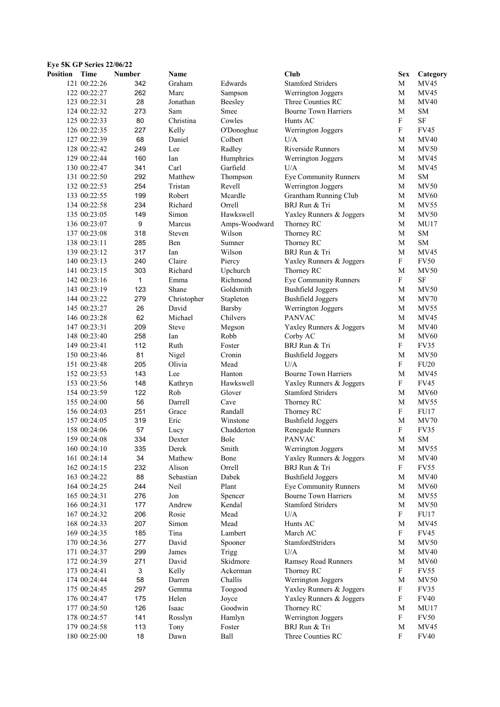| <b>Eye 5K GP Series 22/06/22</b> |              |               |              |               |                                            |                           |              |
|----------------------------------|--------------|---------------|--------------|---------------|--------------------------------------------|---------------------------|--------------|
| <b>Position</b>                  | Time         | <b>Number</b> | Name         |               | Club                                       | <b>Sex</b>                | Category     |
|                                  | 121 00:22:26 | 342           | Graham       | Edwards       | <b>Stamford Striders</b>                   | M                         | MV45         |
|                                  | 122 00:22:27 | 262           | Marc         | Sampson       | Werrington Joggers                         | M                         | MV45         |
|                                  | 123 00:22:31 | 28            | Jonathan     | Beesley       | Three Counties RC                          | M                         | <b>MV40</b>  |
|                                  | 124 00:22:32 | 273           | Sam          | Smee          | <b>Bourne Town Harriers</b>                | M                         | <b>SM</b>    |
|                                  | 125 00:22:33 | 80            | Christina    | Cowles        | Hunts AC                                   | $\mathbf F$               | <b>SF</b>    |
|                                  | 126 00:22:35 | 227           | Kelly        | O'Donoghue    | Werrington Joggers                         | $\mathbf F$               | <b>FV45</b>  |
|                                  | 127 00:22:39 | 68            | Daniel       | Colbert       | U/A                                        | M                         | <b>MV40</b>  |
|                                  | 128 00:22:42 | 249           | Lee          | Radley        | <b>Riverside Runners</b>                   | M                         | MV50         |
|                                  | 129 00:22:44 | 160           | Ian          | Humphries     | Werrington Joggers                         | M                         | MV45         |
|                                  | 130 00:22:47 | 341           | Carl         | Garfield      | U/A                                        | M                         | MV45         |
|                                  | 131 00:22:50 | 292           | Matthew      | Thompson      | <b>Eye Community Runners</b>               | M                         | <b>SM</b>    |
|                                  | 132 00:22:53 | 254           | Tristan      | Revell        | Werrington Joggers                         | М                         | <b>MV50</b>  |
|                                  | 133 00:22:55 | 199           | Robert       | Mcardle       | Grantham Running Club                      | M                         | <b>MV60</b>  |
|                                  | 134 00:22:58 | 234           | Richard      | Orrell        | BRJ Run & Tri                              | M                         | MV55         |
|                                  | 135 00:23:05 | 149           | Simon        | Hawkswell     | Yaxley Runners & Joggers                   | M                         | <b>MV50</b>  |
|                                  | 136 00:23:07 | 9             | Marcus       | Amps-Woodward | Thorney RC                                 | M                         | MU17         |
|                                  | 137 00:23:08 | 318           | Steven       | Wilson        | Thorney RC                                 | M                         | <b>SM</b>    |
|                                  | 138 00:23:11 | 285           | Ben          | Sumner        | Thorney RC                                 | M                         | <b>SM</b>    |
|                                  | 139 00:23:12 | 317           | Ian          | Wilson        | BRJ Run & Tri                              | M                         | MV45         |
|                                  | 140 00:23:13 | 240           | Claire       | Piercy        | Yaxley Runners & Joggers                   | F                         | <b>FV50</b>  |
|                                  | 141 00:23:15 | 303           | Richard      | Upchurch      |                                            | M                         | <b>MV50</b>  |
|                                  |              | $\mathbf{1}$  | Emma         | Richmond      | Thorney RC<br><b>Eye Community Runners</b> | F                         | SF           |
|                                  | 142 00:23:16 |               |              |               |                                            |                           |              |
|                                  | 143 00:23:19 | 123<br>279    | Shane        | Goldsmith     | <b>Bushfield Joggers</b>                   | М                         | MV50<br>MV70 |
|                                  | 144 00:23:22 |               | Christopher  | Stapleton     | <b>Bushfield Joggers</b>                   | М                         |              |
|                                  | 145 00:23:27 | 26            | David        | Barsby        | Werrington Joggers                         | М                         | <b>MV55</b>  |
|                                  | 146 00:23:28 | 62            | Michael      | Chilvers      | <b>PANVAC</b>                              | М                         | MV45         |
|                                  | 147 00:23:31 | 209           | <b>Steve</b> | Megson        | Yaxley Runners & Joggers                   | М                         | <b>MV40</b>  |
|                                  | 148 00:23:40 | 258           | Ian          | Robb          | Corby AC                                   | M                         | <b>MV60</b>  |
|                                  | 149 00:23:41 | 112           | Ruth         | Foster        | BRJ Run & Tri                              | $\mathbf F$               | FV35         |
|                                  | 150 00:23:46 | 81            | Nigel        | Cronin        | <b>Bushfield Joggers</b>                   | M                         | <b>MV50</b>  |
|                                  | 151 00:23:48 | 205           | Olivia       | Mead          | U/A                                        | $\mathbf F$               | <b>FU20</b>  |
|                                  | 152 00:23:53 | 143           | Lee          | Hanton        | <b>Bourne Town Harriers</b>                | M                         | MV45         |
|                                  | 153 00:23:56 | 148           | Kathryn      | Hawkswell     | Yaxley Runners & Joggers                   | F                         | <b>FV45</b>  |
|                                  | 154 00:23:59 | 122           | Rob          | Glover        | <b>Stamford Striders</b>                   | M                         | <b>MV60</b>  |
|                                  | 155 00:24:00 | 56            | Darrell      | Cave          | Thorney RC                                 | M                         | MV55         |
|                                  | 156 00:24:03 | 251           | Grace        | Randall       | Thorney RC                                 | $\mathbf F$               | FU17         |
|                                  | 157 00:24:05 | 319           | Eric         | Winstone      | <b>Bushfield Joggers</b>                   | M                         | MV70         |
|                                  | 158 00:24:06 | 57            | Lucy         | Chadderton    | Renegade Runners                           | F                         | FV35         |
|                                  | 159 00:24:08 | 334           | Dexter       | Bole          | <b>PANVAC</b>                              | M                         | <b>SM</b>    |
|                                  | 160 00:24:10 | 335           | Derek        | Smith         | Werrington Joggers                         | $\mathbf M$               | <b>MV55</b>  |
|                                  | 161 00:24:14 | 34            | Mathew       | Bone          | Yaxley Runners & Joggers                   | M                         | <b>MV40</b>  |
|                                  | 162 00:24:15 | 232           | Alison       | Orrell        | BRJ Run & Tri                              | F                         | FV55         |
|                                  | 163 00:24:22 | 88            | Sebastian    | Dabek         | <b>Bushfield Joggers</b>                   | M                         | MV40         |
|                                  | 164 00:24:25 | 244           | Neil         | Plant         | <b>Eye Community Runners</b>               | M                         | <b>MV60</b>  |
|                                  | 165 00:24:31 | 276           | Jon          | Spencer       | <b>Bourne Town Harriers</b>                | M                         | MV55         |
|                                  | 166 00:24:31 | 177           | Andrew       | Kendal        | <b>Stamford Striders</b>                   | M                         | <b>MV50</b>  |
|                                  | 167 00:24:32 | 206           | Rosie        | Mead          | U/A                                        | F                         | FU17         |
|                                  | 168 00:24:33 | 207           | Simon        | Mead          | Hunts AC                                   | M                         | MV45         |
|                                  | 169 00:24:35 | 185           | Tina         | Lambert       | March AC                                   | F                         | <b>FV45</b>  |
|                                  | 170 00:24:36 | 277           | David        | Spooner       | StamfordStriders                           | M                         | <b>MV50</b>  |
|                                  | 171 00:24:37 | 299           | James        | Trigg         | U/A                                        | M                         | <b>MV40</b>  |
|                                  | 172 00:24:39 | 271           | David        | Skidmore      | <b>Ramsey Road Runners</b>                 | M                         | <b>MV60</b>  |
|                                  | 173 00:24:41 | 3             | Kelly        | Ackerman      | Thorney RC                                 | F                         | FV55         |
|                                  | 174 00:24:44 | 58            | Darren       | Challis       | Werrington Joggers                         | M                         | <b>MV50</b>  |
|                                  | 175 00:24:45 | 297           | Gemma        | Toogood       | Yaxley Runners & Joggers                   | F                         | FV35         |
|                                  | 176 00:24:47 | 175           | Helen        | Joyce         | Yaxley Runners & Joggers                   | ${\bf F}$                 | <b>FV40</b>  |
|                                  | 177 00:24:50 | 126           | Isaac        | Goodwin       | Thorney RC                                 | M                         | MU17         |
|                                  | 178 00:24:57 | 141           | Rosslyn      | Hamlyn        | Werrington Joggers                         | $\boldsymbol{\mathrm{F}}$ | <b>FV50</b>  |
|                                  | 179 00:24:58 | 113           | Tony         | Foster        | BRJ Run & Tri                              | M                         | MV45         |
|                                  | 180 00:25:00 | $18$          | Dawn         | Ball          | Three Counties RC                          | $\mathbf{F}$              | <b>FV40</b>  |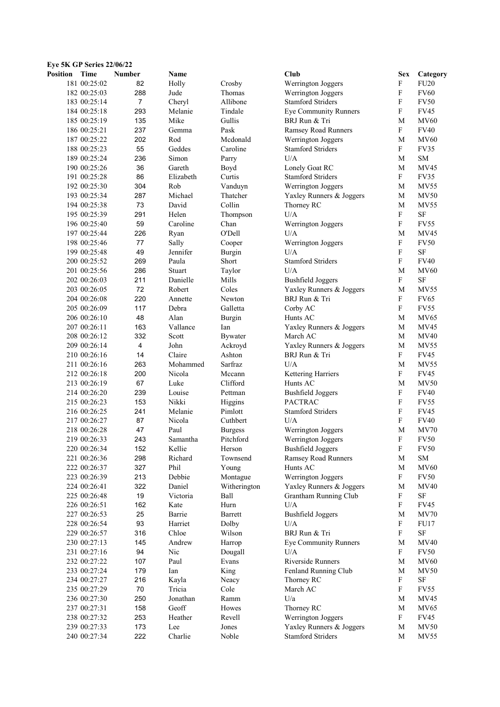| <b>Position</b> | Time         | <b>Number</b>           | Name      |                | Club                         | <b>Sex</b>                | Category    |
|-----------------|--------------|-------------------------|-----------|----------------|------------------------------|---------------------------|-------------|
|                 | 181 00:25:02 | 82                      | Holly     | Crosby         | Werrington Joggers           | F                         | <b>FU20</b> |
|                 | 182 00:25:03 | 288                     | Jude      | Thomas         | Werrington Joggers           | $\boldsymbol{\mathrm{F}}$ | <b>FV60</b> |
|                 | 183 00:25:14 | $\boldsymbol{7}$        | Cheryl    | Allibone       | <b>Stamford Striders</b>     | F                         | <b>FV50</b> |
|                 | 184 00:25:18 | 293                     | Melanie   | Tindale        | <b>Eye Community Runners</b> | F                         | <b>FV45</b> |
|                 | 185 00:25:19 | 135                     | Mike      | Gullis         | BRJ Run & Tri                | M                         | <b>MV60</b> |
|                 | 186 00:25:21 | 237                     | Gemma     | Pask           | <b>Ramsey Road Runners</b>   | $\mathbf F$               | <b>FV40</b> |
|                 | 187 00:25:22 | 202                     | Rod       | Mcdonald       | Werrington Joggers           | M                         | <b>MV60</b> |
|                 | 188 00:25:23 | 55                      | Geddes    | Caroline       | <b>Stamford Striders</b>     | F                         | FV35        |
|                 | 189 00:25:24 | 236                     | Simon     | Parry          | U/A                          | M                         | SM          |
|                 | 190 00:25:26 | 36                      | Gareth    | Boyd           | Lonely Goat RC               | M                         | <b>MV45</b> |
|                 | 191 00:25:28 | 86                      | Elizabeth | Curtis         | <b>Stamford Striders</b>     | $_{\rm F}$                | FV35        |
|                 | 192 00:25:30 | 304                     | Rob       | Vanduyn        | Werrington Joggers           | М                         | <b>MV55</b> |
|                 | 193 00:25:34 | 287                     | Michael   | Thatcher       | Yaxley Runners & Joggers     | M                         | <b>MV50</b> |
|                 |              | 73                      | David     | Collin         |                              | M                         | <b>MV55</b> |
|                 | 194 00:25:38 |                         |           |                | Thorney RC                   | $\mathbf F$               |             |
|                 | 195 00:25:39 | 291                     | Helen     | Thompson       | $U/A$                        |                           | SF          |
|                 | 196 00:25:40 | 59                      | Caroline  | Chan           | Werrington Joggers           | $\boldsymbol{\mathrm{F}}$ | <b>FV55</b> |
|                 | 197 00:25:44 | 226                     | Ryan      | O'Dell         | U/A                          | M                         | MV45        |
|                 | 198 00:25:46 | 77                      | Sally     | Cooper         | Werrington Joggers           | F                         | <b>FV50</b> |
|                 | 199 00:25:48 | 49                      | Jennifer  | Burgin         | U/A                          | F                         | SF          |
|                 | 200 00:25:52 | 269                     | Paula     | Short          | <b>Stamford Striders</b>     | F                         | <b>FV40</b> |
|                 | 201 00:25:56 | 286                     | Stuart    | Taylor         | U/A                          | M                         | <b>MV60</b> |
|                 | 202 00:26:03 | 211                     | Danielle  | Mills          | <b>Bushfield Joggers</b>     | $\boldsymbol{\mathrm{F}}$ | SF          |
|                 | 203 00:26:05 | 72                      | Robert    | Coles          | Yaxley Runners & Joggers     | M                         | <b>MV55</b> |
|                 | 204 00:26:08 | 220                     | Annette   | Newton         | BRJ Run & Tri                | F                         | <b>FV65</b> |
|                 | 205 00:26:09 | 117                     | Debra     | Galletta       | Corby AC                     | $\mathbf F$               | <b>FV55</b> |
|                 | 206 00:26:10 | 48                      | Alan      | Burgin         | Hunts AC                     | M                         | MV65        |
|                 | 207 00:26:11 | 163                     | Vallance  | Ian            | Yaxley Runners & Joggers     | M                         | MV45        |
|                 | 208 00:26:12 | 332                     | Scott     | <b>Bywater</b> | March AC                     | М                         | <b>MV40</b> |
|                 | 209 00:26:14 | $\overline{\mathbf{4}}$ | John      | Ackroyd        | Yaxley Runners & Joggers     | M                         | <b>MV55</b> |
|                 | 210 00:26:16 | 14                      | Claire    | Ashton         | BRJ Run & Tri                | F                         | <b>FV45</b> |
|                 | 211 00:26:16 | 263                     | Mohammed  | Sarfraz        | U/A                          | M                         | <b>MV55</b> |
|                 | 212 00:26:18 | 200                     | Nicola    | Mccann         | Kettering Harriers           | F                         | <b>FV45</b> |
|                 | 213 00:26:19 | 67                      | Luke      | Clifford       | Hunts AC                     | M                         | <b>MV50</b> |
|                 | 214 00:26:20 | 239                     | Louise    | Pettman        | <b>Bushfield Joggers</b>     | $\mathbf{F}$              | <b>FV40</b> |
|                 | 215 00:26:23 | 153                     | Nikki     | Higgins        | <b>PACTRAC</b>               | F                         | <b>FV55</b> |
|                 | 216 00:26:25 | 241                     | Melanie   | Pimlott        | <b>Stamford Striders</b>     | F                         | <b>FV45</b> |
|                 | 217 00:26:27 | 87                      | Nicola    | Cuthbert       | U/A                          | $\boldsymbol{\mathrm{F}}$ | <b>FV40</b> |
|                 | 218 00:26:28 | 47                      | Paul      | <b>Burgess</b> | Werrington Joggers           | M                         | MV70        |
|                 | 219 00:26:33 | 243                     | Samantha  | Pitchford      | Werrington Joggers           | F                         | <b>FV50</b> |
|                 | 220 00:26:34 | 152                     | Kellie    | Herson         | <b>Bushfield Joggers</b>     | F                         | <b>FV50</b> |
|                 | 221 00:26:36 | 298                     | Richard   | Townsend       | Ramsey Road Runners          | M                         | SM          |
|                 | 222 00:26:37 | 327                     | Phil      | Young          | Hunts AC                     | M                         | <b>MV60</b> |
|                 | 223 00:26:39 | 213                     | Debbie    | Montague       | Werrington Joggers           | F                         | <b>FV50</b> |
|                 |              | 322                     | Daniel    | Witherington   | Yaxley Runners & Joggers     | M                         |             |
|                 | 224 00:26:41 |                         |           |                |                              |                           | <b>MV40</b> |
|                 | 225 00:26:48 | 19                      | Victoria  | Ball           | Grantham Running Club        | $\boldsymbol{\mathrm{F}}$ | $\rm SF$    |
|                 | 226 00:26:51 | 162                     | Kate      | Hurn           | U/A                          | F                         | <b>FV45</b> |
|                 | 227 00:26:53 | 25                      | Barrie    | Barrett        | <b>Bushfield Joggers</b>     | М                         | MV70        |
|                 | 228 00:26:54 | 93                      | Harriet   | Dolby          | U/A                          | F                         | FU17        |
|                 | 229 00:26:57 | 316                     | Chloe     | Wilson         | BRJ Run & Tri                | $_{\rm F}$                | $\rm SF$    |
|                 | 230 00:27:13 | 145                     | Andrew    | Harrop         | <b>Eye Community Runners</b> | M                         | <b>MV40</b> |
|                 | 231 00:27:16 | 94                      | Nic       | Dougall        | U/A                          | F                         | <b>FV50</b> |
|                 | 232 00:27:22 | 107                     | Paul      | Evans          | Riverside Runners            | M                         | <b>MV60</b> |
|                 | 233 00:27:24 | 179                     | Ian       | King           | Fenland Running Club         | M                         | <b>MV50</b> |
|                 | 234 00:27:27 | 216                     | Kayla     | Neacy          | Thorney RC                   | F                         | SF          |
|                 | 235 00:27:29 | 70                      | Tricia    | Cole           | March AC                     | F                         | FV55        |
|                 | 236 00:27:30 | 250                     | Jonathan  | Ramm           | U/a                          | M                         | MV45        |
|                 | 237 00:27:31 | 158                     | Geoff     | Howes          | Thorney RC                   | M                         | MV65        |
|                 | 238 00:27:32 | 253                     | Heather   | Revell         | Werrington Joggers           | $\mathbf{F}$              | <b>FV45</b> |
|                 | 239 00:27:33 | 173                     | Lee       | Jones          | Yaxley Runners & Joggers     | M                         | MV50        |
|                 | 240 00:27:34 | 222                     | Charlie   | Noble          | <b>Stamford Striders</b>     | M                         | MV55        |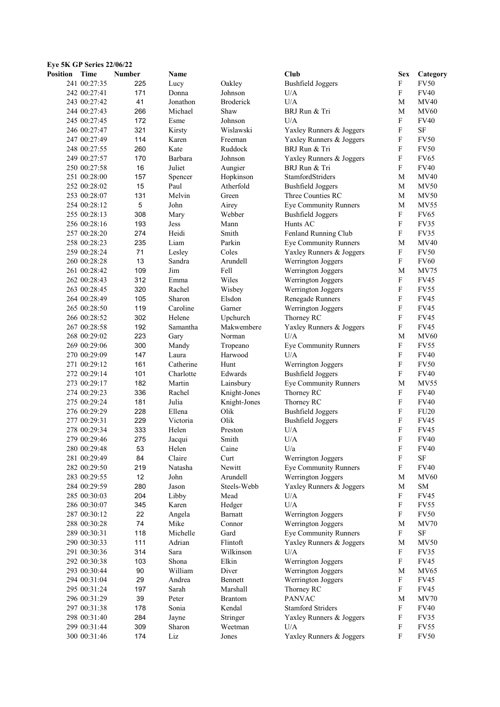| Eye 5K GP Series 22/06/22 |                              |               |                |                     |                                          |                           |                            |
|---------------------------|------------------------------|---------------|----------------|---------------------|------------------------------------------|---------------------------|----------------------------|
| <b>Position</b>           | Time                         | <b>Number</b> | Name           |                     | Club                                     | <b>Sex</b>                | Category                   |
|                           | 241 00:27:35                 | 225           | Lucy           | Oakley              | <b>Bushfield Joggers</b>                 | $\mathbf F$               | <b>FV50</b>                |
|                           | 242 00:27:41                 | 171           | Donna          | Johnson             | U/A                                      | $\mathbf F$               | <b>FV40</b>                |
|                           | 243 00:27:42                 | 41            | Jonathon       | <b>Broderick</b>    | U/A                                      | M                         | <b>MV40</b>                |
|                           | 244 00:27:43                 | 266           | Michael        | Shaw                | BRJ Run & Tri                            | M                         | <b>MV60</b>                |
|                           | 245 00:27:45                 | 172           | Esme           | Johnson             | U/A                                      | F                         | <b>FV40</b>                |
|                           | 246 00:27:47                 | 321           | Kirsty         | Wislawski           | Yaxley Runners & Joggers                 | F                         | SF                         |
|                           | 247 00:27:49                 | 114           | Karen          | Freeman             | Yaxley Runners & Joggers                 | $\mathbf F$               | <b>FV50</b>                |
|                           | 248 00:27:55                 | 260           | Kate           | Ruddock             | BRJ Run & Tri                            | F                         | <b>FV50</b>                |
|                           | 249 00:27:57                 | 170           | Barbara        | Johnson             | Yaxley Runners & Joggers                 | $\mathbf{F}$              | <b>FV65</b>                |
|                           | 250 00:27:58                 | 16            | Juliet         | Aungier             | BRJ Run & Tri                            | F                         | <b>FV40</b>                |
|                           | 251 00:28:00                 | 157           | Spencer        | Hopkinson           | StamfordStriders                         | M                         | <b>MV40</b>                |
|                           | 252 00:28:02                 | 15            | Paul           | Atherfold           | <b>Bushfield Joggers</b>                 | М                         | <b>MV50</b>                |
|                           | 253 00:28:07                 | 131           | Melvin         | Green               | Three Counties RC                        | M                         | <b>MV50</b>                |
|                           | 254 00:28:12                 | 5             | John           | Airey               | <b>Eye Community Runners</b>             | M                         | <b>MV55</b>                |
|                           | 255 00:28:13                 | 308           | Mary           | Webber              | <b>Bushfield Joggers</b>                 | $\mathbf F$               | <b>FV65</b>                |
|                           | 256 00:28:16                 | 193           | Jess           | Mann                | Hunts AC                                 | $\mathbf F$               | FV35                       |
|                           | 257 00:28:20                 | 274           | Heidi          | Smith               | Fenland Running Club                     | F                         | <b>FV35</b>                |
|                           | 258 00:28:23                 | 235           | Liam           | Parkin              | <b>Eye Community Runners</b>             | M                         | <b>MV40</b>                |
|                           | 259 00:28:24                 | 71            | Lesley         | Coles               | Yaxley Runners & Joggers                 | F                         | <b>FV50</b>                |
|                           | 260 00:28:28                 | 13            | Sandra         | Arundell            | Werrington Joggers                       | F                         | <b>FV60</b>                |
|                           | 261 00:28:42                 | 109           | Jim            | Fell                | Werrington Joggers                       | М                         | <b>MV75</b>                |
|                           | 262 00:28:43                 | 312           | Emma           | Wiles               | Werrington Joggers                       | $\mathbf F$               | <b>FV45</b>                |
|                           | 263 00:28:45                 | 320           | Rachel         | Wisbey              | Werrington Joggers                       | $\mathbf F$               | <b>FV55</b>                |
|                           | 264 00:28:49                 | 105           | Sharon         | Elsdon              | Renegade Runners                         | F                         | <b>FV45</b>                |
|                           | 265 00:28:50                 | 119           | Caroline       | Garner              | Werrington Joggers                       | F                         | <b>FV45</b>                |
|                           | 266 00:28:52                 | 302           | Helene         | Upchurch            | Thorney RC                               | F                         | <b>FV45</b>                |
|                           | 267 00:28:58                 | 192           | Samantha       | Makwembere          | Yaxley Runners & Joggers                 | F                         | <b>FV45</b>                |
|                           | 268 00:29:02                 | 223           | Gary           | Norman              | U/A                                      | M                         | <b>MV60</b>                |
|                           | 269 00:29:06                 | 300           | Mandy          | Tropeano            | Eye Community Runners                    | F                         | <b>FV55</b>                |
|                           | 270 00:29:09                 | 147           | Laura          | Harwood             | U/A                                      | $\mathbf F$               | <b>FV40</b>                |
|                           | 271 00:29:12                 | 161           | Catherine      | Hunt                | Werrington Joggers                       | $\mathbf F$               | <b>FV50</b>                |
|                           | 272 00:29:14                 | 101           | Charlotte      | Edwards             | <b>Bushfield Joggers</b>                 | F                         | <b>FV40</b>                |
|                           | 273 00:29:17                 | 182           | Martin         | Lainsbury           | <b>Eye Community Runners</b>             | М                         | MV55                       |
|                           | 274 00:29:23                 | 336           | Rachel         | Knight-Jones        | Thorney RC                               | F                         | <b>FV40</b>                |
|                           | 275 00:29:24                 | 181           | Julia          | Knight-Jones        | Thorney RC                               | F                         | <b>FV40</b>                |
|                           | 276 00:29:29                 | 228           | Ellena         | Olik                | <b>Bushfield Joggers</b>                 | $\boldsymbol{\mathrm{F}}$ | FU <sub>20</sub>           |
|                           | 277 00:29:31                 | 229           | Victoria       | Olik                | <b>Bushfield Joggers</b>                 | $\mathbf F$               | FV45                       |
|                           | 278 00:29:34                 | 333           | Helen          | Preston             | U/A                                      | F                         | <b>FV45</b>                |
|                           | 279 00:29:46                 | 275           | Jacqui         | Smith               | $\mathbf{U}/\mathbf{A}$                  | F                         | <b>FV40</b>                |
|                           | 280 00:29:48                 | 53            | Helen          | Caine               | U/a                                      | F                         | <b>FV40</b>                |
|                           | 281 00:29:49                 | 84            | Claire         | Curt                | Werrington Joggers                       | F                         | SF                         |
|                           | 282 00:29:50                 | 219           | Natasha        | Newitt              | <b>Eye Community Runners</b>             | F                         | <b>FV40</b>                |
|                           | 283 00:29:55                 | 12            | John           | Arundell            | Werrington Joggers                       | M                         | <b>MV60</b>                |
|                           | 284 00:29:59                 | 280           | Jason          | Steels-Webb<br>Mead | Yaxley Runners & Joggers<br>U/A          | M<br>F                    | SM<br><b>FV45</b>          |
|                           | 285 00:30:03<br>286 00:30:07 | 204<br>345    | Libby<br>Karen | Hedger              | U/A                                      | F                         | FV55                       |
|                           |                              |               |                |                     |                                          | F                         |                            |
|                           | 287 00:30:12<br>288 00:30:28 | 22<br>74      | Angela<br>Mike | Barnatt<br>Connor   | Werrington Joggers<br>Werrington Joggers | M                         | <b>FV50</b><br><b>MV70</b> |
|                           | 289 00:30:31                 | 118           | Michelle       | Gard                | <b>Eye Community Runners</b>             | F                         | $\rm SF$                   |
|                           | 290 00:30:33                 | 111           | Adrian         | Flintoft            | Yaxley Runners & Joggers                 | M                         | <b>MV50</b>                |
|                           | 291 00:30:36                 | 314           | Sara           | Wilkinson           | U/A                                      | F                         | FV35                       |
|                           | 292 00:30:38                 | 103           | Shona          | Elkin               | Werrington Joggers                       | $\boldsymbol{\mathrm{F}}$ | <b>FV45</b>                |
|                           | 293 00:30:44                 | 90            | William        | Diver               | Werrington Joggers                       | M                         | MV65                       |
|                           | 294 00:31:04                 | 29            | Andrea         | Bennett             | Werrington Joggers                       | ${\bf F}$                 | <b>FV45</b>                |
|                           | 295 00:31:24                 | 197           | Sarah          | Marshall            | Thorney RC                               | $\boldsymbol{\mathrm{F}}$ | <b>FV45</b>                |
|                           | 296 00:31:29                 | 39            | Peter          | <b>Brantom</b>      | <b>PANVAC</b>                            | M                         | <b>MV70</b>                |
|                           | 297 00:31:38                 | 178           | Sonia          | Kendal              | <b>Stamford Striders</b>                 | F                         | <b>FV40</b>                |
|                           | 298 00:31:40                 | 284           | Jayne          | Stringer            | Yaxley Runners & Joggers                 | F                         | FV35                       |
|                           | 299 00:31:44                 | 309           | Sharon         | Weetman             | U/A                                      | F                         | <b>FV55</b>                |
|                           | 300 00:31:46                 | 174           | Liz            | Jones               | Yaxley Runners & Joggers                 | F                         | <b>FV50</b>                |
|                           |                              |               |                |                     |                                          |                           |                            |